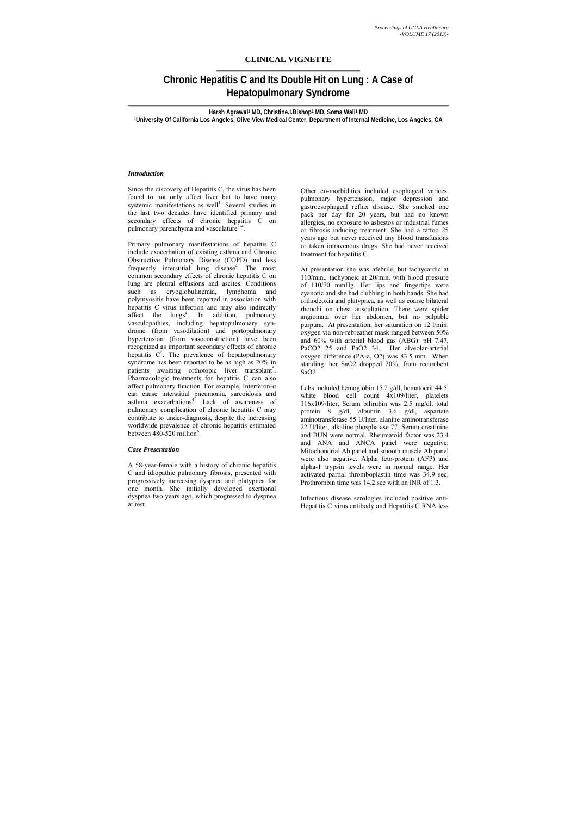# **CLINICAL VIGNETTE**

# **Chronic Hepatitis C and Its Double Hit on Lung : A Case of Hepatopulmonary Syndrome**

Since the discovery of Hepatitis C, the virus has been found to not only affect liver but to have many systemic manifestations as well<sup>1</sup>. Several studies in the last two decades have identified primary and secondary effects of chronic hepatitis C on pulmonary parenchyma and vasculature $2-4$ .

**Harsh Agrawal1 MD, Christine.I.Bishop1 MD, Soma Wali1 MD 1University Of California Los Angeles, Olive View Medical Center. Department of Internal Medicine, Los Angeles, CA** 

Primary pulmonary manifestations of hepatitis C include exacerbation of existing asthma and Chronic Obstructive Pulmonary Disease (COPD) and less frequently interstitial lung disease<sup>4</sup>. The most common secondary effects of chronic hepatitis C on lung are pleural effusions and ascites. Conditions such as cryoglobulinemia, lymphoma and polymyositis have been reported in association with hepatitis C virus infection and may also indirectly affect the lungs<sup>4</sup>. In addition, pulmonary vasculopathies, including hepatopulmonary syndrome (from vasodilation) and portopulmonary hypertension (from vasoconstriction) have been recognized as important secondary effects of chronic hepatitis  $C<sup>4</sup>$ . The prevalence of hepatopulmonary syndrome has been reported to be as high as 20% in patients awaiting orthotopic liver transplant<sup>5</sup>. Pharmacologic treatments for hepatitis C can also affect pulmonary function. For example, Interferon- $\alpha$ can cause interstitial pneumonia, sarcoidosis and asthma exacerbations<sup>4</sup>. Lack of awareness of pulmonary complication of chronic hepatitis C may contribute to under-diagnosis, despite the increasing worldwide prevalence of chronic hepatitis estimated between  $480-520$  million<sup>6</sup>.

## *Introduction*

#### *Case Presentation*

A 58-year-female with a history of chronic hepatitis C and idiopathic pulmonary fibrosis, presented with progressively increasing dyspnea and platypnea for one month. She initially developed exertional dyspnea two years ago, which progressed to dyspnea at rest.

Other co-morbidities included esophageal varices, pulmonary hypertension, major depression and gastroesophageal reflux disease. She smoked one pack per day for 20 years, but had no known allergies, no exposure to asbestos or industrial fumes or fibrosis inducing treatment. She had a tattoo 25 years ago but never received any blood transfusions or taken intravenous drugs. She had never received treatment for hepatitis C.

At presentation she was afebrile, but tachycardic at 110/min., tachypneic at 20/min. with blood pressure of 110/70 mmHg. Her lips and fingertips were cyanotic and she had clubbing in both hands. She had orthodeoxia and platypnea, as well as coarse bilateral rhonchi on chest auscultation. There were spider angiomata over her abdomen, but no palpable purpura. At presentation, her saturation on 12 l/min. oxygen via non-rebreather mask ranged between 50% and 60% with arterial blood gas (ABG): pH 7.47, PaCO2 25 and PaO2 34. Her alveolar-arterial oxygen difference (PA-a, O2) was 83.5 mm. When standing, her SaO2 dropped 20%, from recumbent SaO2.

Labs included hemoglobin 15.2 g/dl, hematocrit 44.5, white blood cell count 4x109/liter, platelets 116x109/liter, Serum bilirubin was 2.5 mg/dl, total protein 8 g/dl, albumin 3.6 g/dl, aspartate aminotransferase 55 U/liter, alanine aminotransferase 22 U/liter, alkaline phosphatase 77. Serum creatinine and BUN were normal. Rheumatoid factor was 23.4 and ANA and ANCA panel were negative. Mitochondrial Ab panel and smooth muscle Ab panel were also negative. Alpha feto-protein (AFP) and alpha-1 trypsin levels were in normal range. Her activated partial thromboplastin time was 34.9 sec, Prothrombin time was 14.2 sec with an INR of 1.3.

Infectious disease serologies included positive anti-Hepatitis C virus antibody and Hepatitis C RNA less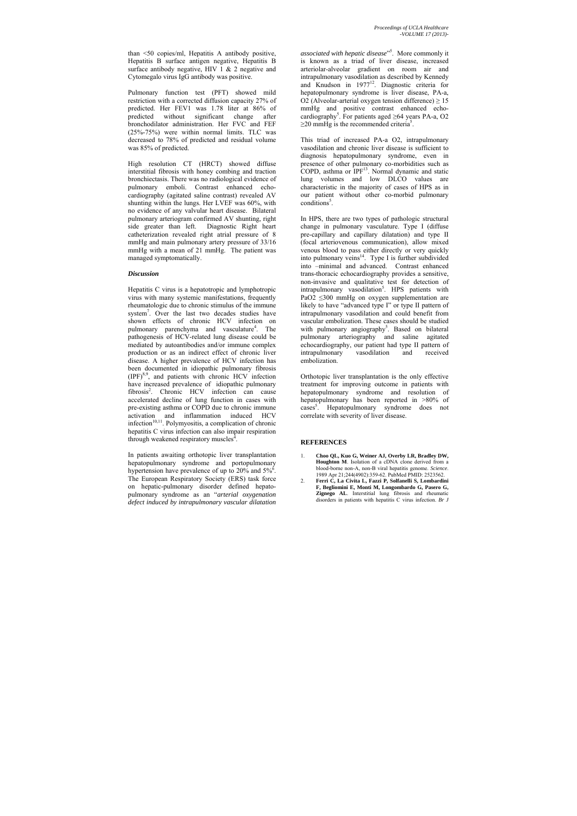than <50 copies/ml, Hepatitis A antibody positive, Hepatitis B surface antigen negative, Hepatitis B surface antibody negative, HIV 1 & 2 negative and Cytomegalo virus IgG antibody was positive.

Pulmonary function test (PFT) showed mild restriction with a corrected diffusion capacity 27% of predicted. Her FEV1 was 1.78 liter at 86% of predicted without significant change after bronchodilator administration. Her FVC and FEF (25%-75%) were within normal limits. TLC was decreased to 78% of predicted and residual volume was 85% of predicted.

Hepatitis C virus is a hepatotropic and lymphotropic virus with many systemic manifestations, frequently rheumatologic due to chronic stimulus of the immune system<sup>7</sup>. Over the last two decades studies have shown effects of chronic HCV infection on pulmonary parenchyma and vasculature<sup>4</sup>. The pathogenesis of HCV-related lung disease could be mediated by autoantibodies and/or immune complex production or as an indirect effect of chronic liver disease. A higher prevalence of HCV infection has been documented in idiopathic pulmonary fibrosis  $(IPF)^{8,9}$ , and patients with chronic HCV infection have increased prevalence of idiopathic pulmonary fibrosis<sup>2</sup>. Chronic HCV infection can cause accelerated decline of lung function in cases with pre-existing asthma or COPD due to chronic immune activation and inflammation induced HCV infection $10,11$ . Polymyositis, a complication of chronic hepatitis C virus infection can also impair respiration through weakened respiratory muscles<sup> $\frac{1}{4}$ </sup>.

High resolution CT (HRCT) showed diffuse interstitial fibrosis with honey combing and traction bronchiectasis. There was no radiological evidence of pulmonary emboli. Contrast enhanced echocardiography (agitated saline contrast) revealed AV shunting within the lungs. Her LVEF was 60%, with no evidence of any valvular heart disease. Bilateral pulmonary arteriogram confirmed AV shunting, right side greater than left. Diagnostic Right heart catheterization revealed right atrial pressure of 8 mmHg and main pulmonary artery pressure of 33/16 mmHg with a mean of 21 mmHg. The patient was managed symptomatically.

## *Discussion*

*associated with hepatic disease*" 5 . More commonly it is known as a triad of liver disease, increased arteriolar-alveolar gradient on room air and intrapulmonary vasodilation as described by Kennedy and Knudson in 1977<sup>12</sup>. Diagnostic criteria for hepatopulmonary syndrome is liver disease, PA-a, O2 (Alveolar-arterial oxygen tension difference)  $\geq$  15 mmHg and positive contrast enhanced echocardiography<sup>5</sup>. For patients aged  $\geq 64$  years PA-a, O2  $\geq$ 20 mmHg is the recommended criteria<sup>5</sup>.

This triad of increased PA-a O2, intrapulmonary vasodilation and chronic liver disease is sufficient to diagnosis hepatopulmonary syndrome, even in presence of other pulmonary co-morbidities such as  $COPD$ , asthma or  $IPF<sup>13</sup>$ . Normal dynamic and static lung volumes and low DLCO values are characteristic in the majority of cases of HPS as in our patient without other co-morbid pulmonary conditions<sup>5</sup>.

In patients awaiting orthotopic liver transplantation hepatopulmonary syndrome and portopulmonary hypertension have prevalence of up to  $20\%$  and  $5\%$ . The European Respiratory Society (ERS) task force on hepatic-pulmonary disorder defined hepatopulmonary syndrome as an "*arterial oxygenation defect induced by intrapulmonary vascular dilatation* 

In HPS, there are two types of pathologic structural change in pulmonary vasculature. Type I (diffuse pre-capillary and capillary dilatation) and type II (focal arteriovenous communication), allow mixed venous blood to pass either directly or very quickly into pulmonary veins $14$ . Type I is further subdivided into –minimal and advanced. Contrast enhanced trans-thoracic echocardiography provides a sensitive, non-invasive and qualitative test for detection of intrapulmonary vasodilation<sup>5</sup>. HPS patients with PaO2 ≤300 mmHg on oxygen supplementation are likely to have "advanced type I" or type II pattern of intrapulmonary vasodilation and could benefit from vascular embolization. These cases should be studied with pulmonary angiography<sup>5</sup>. Based on bilateral pulmonary arteriography and saline agitated echocardiography, our patient had type II pattern of intrapulmonary vasodilation and received embolization.

Orthotopic liver transplantation is the only effective treatment for improving outcome in patients with hepatopulmonary syndrome and resolution of hepatopulmonary has been reported in >80% of cases<sup>5</sup>. Hepatopulmonary syndrome does not correlate with severity of liver disease.

#### **REFERENCES**

- 1. **Choo QL, Kuo G, Weiner AJ, Overby LR, Bradley DW, Houghton M**. Isolation of a cDNA clone derived from a blood-borne non-A, non-B viral hepatitis genome. *Science*. 1989 Apr 21;244(4902):359-62. PubMed PMID: 2523562.
- 2. **Ferri C, La Civita L, Fazzi P, Solfanelli S, Lombardini F, Begliomini E, Monti M, Longombardo G, Pasero G, Zignego AL**. Interstitial lung fibrosis and rheumatic disorders in patients with hepatitis C virus infection. *Br J*